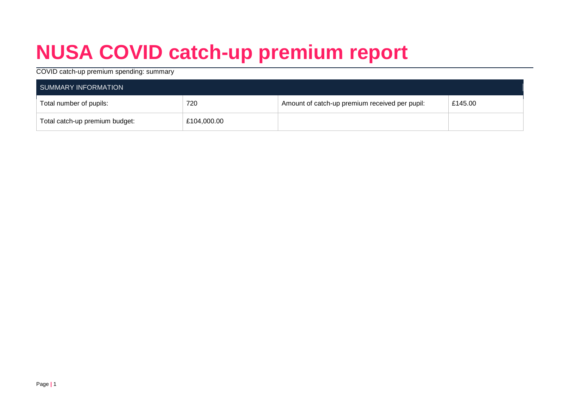# **NUSA COVID catch-up premium report**

#### COVID catch-up premium spending: summary

| SUMMARY INFORMATION            |             |                                                |         |  |  |
|--------------------------------|-------------|------------------------------------------------|---------|--|--|
| Total number of pupils:        | 720         | Amount of catch-up premium received per pupil: | £145.00 |  |  |
| Total catch-up premium budget: | £104,000.00 |                                                |         |  |  |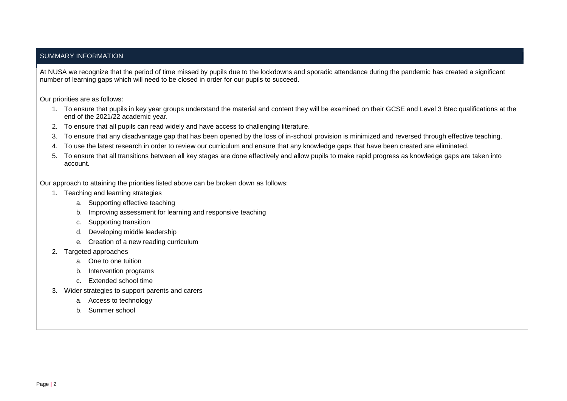#### SUMMARY INFORMATION

At NUSA we recognize that the period of time missed by pupils due to the lockdowns and sporadic attendance during the pandemic has created a significant number of learning gaps which will need to be closed in order for our pupils to succeed.

Our priorities are as follows:

- 1. To ensure that pupils in key year groups understand the material and content they will be examined on their GCSE and Level 3 Btec qualifications at the end of the 2021/22 academic year.
- 2. To ensure that all pupils can read widely and have access to challenging literature.
- 3. To ensure that any disadvantage gap that has been opened by the loss of in-school provision is minimized and reversed through effective teaching.
- 4. To use the latest research in order to review our curriculum and ensure that any knowledge gaps that have been created are eliminated.
- 5. To ensure that all transitions between all key stages are done effectively and allow pupils to make rapid progress as knowledge gaps are taken into account.

Our approach to attaining the priorities listed above can be broken down as follows:

- 1. Teaching and learning strategies
	- a. Supporting effective teaching
	- b. Improving assessment for learning and responsive teaching
	- c. Supporting transition
	- d. Developing middle leadership
	- e. Creation of a new reading curriculum
- 2. Targeted approaches
	- a. One to one tuition
	- b. Intervention programs
	- c. Extended school time
- 3. Wider strategies to support parents and carers
	- a. Access to technology
	- b. Summer school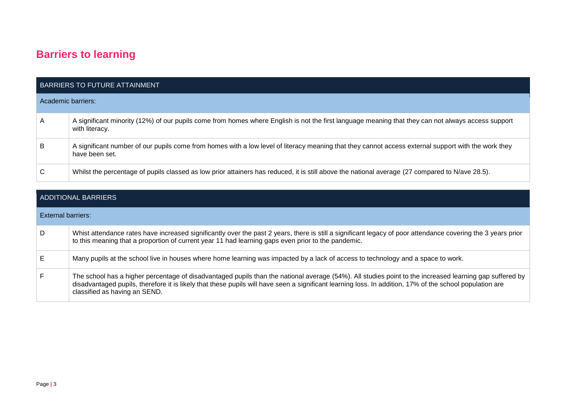### **Barriers to learning**

|                    | <b>BARRIERS TO FUTURE ATTAINMENT</b>                                                                                                                                  |
|--------------------|-----------------------------------------------------------------------------------------------------------------------------------------------------------------------|
| Academic barriers: |                                                                                                                                                                       |
| $\mathsf{A}$       | A significant minority (12%) of our pupils come from homes where English is not the first language meaning that they can not always access support<br>with literacy.  |
| B                  | A significant number of our pupils come from homes with a low level of literacy meaning that they cannot access external support with the work they<br>have been set. |
| C                  | Whilst the percentage of pupils classed as low prior attainers has reduced, it is still above the national average (27 compared to N/ave 28.5).                       |

|                    | ADDITIONAL BARRIERS                                                                                                                                                                                                                                                                                                                                  |
|--------------------|------------------------------------------------------------------------------------------------------------------------------------------------------------------------------------------------------------------------------------------------------------------------------------------------------------------------------------------------------|
| External barriers: |                                                                                                                                                                                                                                                                                                                                                      |
| D                  | Whist attendance rates have increased significantly over the past 2 years, there is still a significant legacy of poor attendance covering the 3 years prior<br>to this meaning that a proportion of current year 11 had learning gaps even prior to the pandemic.                                                                                   |
| Е                  | Many pupils at the school live in houses where home learning was impacted by a lack of access to technology and a space to work.                                                                                                                                                                                                                     |
| F.                 | The school has a higher percentage of disadvantaged pupils than the national average (54%). All studies point to the increased learning gap suffered by<br>disadvantaged pupils, therefore it is likely that these pupils will have seen a significant learning loss. In addition, 17% of the school population are<br>classified as having an SEND. |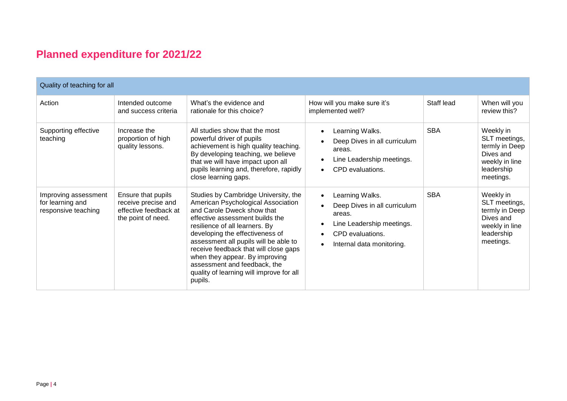## **Planned expenditure for 2021/22**

| Quality of teaching for all                                     |                                                                                          |                                                                                                                                                                                                                                                                                                                                                                                                                             |                                                                                                                                                                                             |            |                                                                                                        |
|-----------------------------------------------------------------|------------------------------------------------------------------------------------------|-----------------------------------------------------------------------------------------------------------------------------------------------------------------------------------------------------------------------------------------------------------------------------------------------------------------------------------------------------------------------------------------------------------------------------|---------------------------------------------------------------------------------------------------------------------------------------------------------------------------------------------|------------|--------------------------------------------------------------------------------------------------------|
| Action                                                          | Intended outcome<br>and success criteria                                                 | What's the evidence and<br>rationale for this choice?                                                                                                                                                                                                                                                                                                                                                                       | How will you make sure it's<br>implemented well?                                                                                                                                            | Staff lead | When will you<br>review this?                                                                          |
| Supporting effective<br>teaching                                | Increase the<br>proportion of high<br>quality lessons.                                   | All studies show that the most<br>powerful driver of pupils<br>achievement is high quality teaching.<br>By developing teaching, we believe<br>that we will have impact upon all<br>pupils learning and, therefore, rapidly<br>close learning gaps.                                                                                                                                                                          | Learning Walks.<br>$\bullet$<br>Deep Dives in all curriculum<br>areas.<br>Line Leadership meetings.<br>CPD evaluations.<br>$\bullet$                                                        | <b>SBA</b> | Weekly in<br>SLT meetings,<br>termly in Deep<br>Dives and<br>weekly in line<br>leadership<br>meetings. |
| Improving assessment<br>for learning and<br>responsive teaching | Ensure that pupils<br>receive precise and<br>effective feedback at<br>the point of need. | Studies by Cambridge University, the<br>American Psychological Association<br>and Carole Dweck show that<br>effective assessment builds the<br>resilience of all learners. By<br>developing the effectiveness of<br>assessment all pupils will be able to<br>receive feedback that will close gaps<br>when they appear. By improving<br>assessment and feedback, the<br>quality of learning will improve for all<br>pupils. | Learning Walks.<br>$\bullet$<br>Deep Dives in all curriculum<br>areas.<br>Line Leadership meetings.<br>$\bullet$<br>CPD evaluations.<br>$\bullet$<br>Internal data monitoring.<br>$\bullet$ | <b>SBA</b> | Weekly in<br>SLT meetings,<br>termly in Deep<br>Dives and<br>weekly in line<br>leadership<br>meetings. |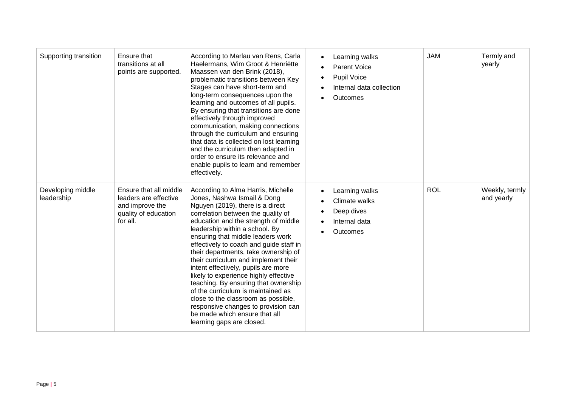| Supporting transition           | Ensure that<br>transitions at all<br>points are supported.                                             | According to Marlau van Rens, Carla<br>Haelermans, Wim Groot & Henriëtte<br>Maassen van den Brink (2018),<br>problematic transitions between Key<br>Stages can have short-term and<br>long-term consequences upon the<br>learning and outcomes of all pupils.<br>By ensuring that transitions are done<br>effectively through improved<br>communication, making connections<br>through the curriculum and ensuring<br>that data is collected on lost learning<br>and the curriculum then adapted in<br>order to ensure its relevance and<br>enable pupils to learn and remember<br>effectively.                                                                                                 | Learning walks<br>$\bullet$<br><b>Parent Voice</b><br>Pupil Voice<br>Internal data collection<br>Outcomes | <b>JAM</b> | Termly and<br>yearly         |
|---------------------------------|--------------------------------------------------------------------------------------------------------|-------------------------------------------------------------------------------------------------------------------------------------------------------------------------------------------------------------------------------------------------------------------------------------------------------------------------------------------------------------------------------------------------------------------------------------------------------------------------------------------------------------------------------------------------------------------------------------------------------------------------------------------------------------------------------------------------|-----------------------------------------------------------------------------------------------------------|------------|------------------------------|
| Developing middle<br>leadership | Ensure that all middle<br>leaders are effective<br>and improve the<br>quality of education<br>for all. | According to Alma Harris, Michelle<br>Jones, Nashwa Ismail & Dong<br>Nguyen (2019), there is a direct<br>correlation between the quality of<br>education and the strength of middle<br>leadership within a school. By<br>ensuring that middle leaders work<br>effectively to coach and guide staff in<br>their departments, take ownership of<br>their curriculum and implement their<br>intent effectively, pupils are more<br>likely to experience highly effective<br>teaching. By ensuring that ownership<br>of the curriculum is maintained as<br>close to the classroom as possible,<br>responsive changes to provision can<br>be made which ensure that all<br>learning gaps are closed. | Learning walks<br>Climate walks<br>Deep dives<br>Internal data<br>Outcomes                                | <b>ROL</b> | Weekly, termly<br>and yearly |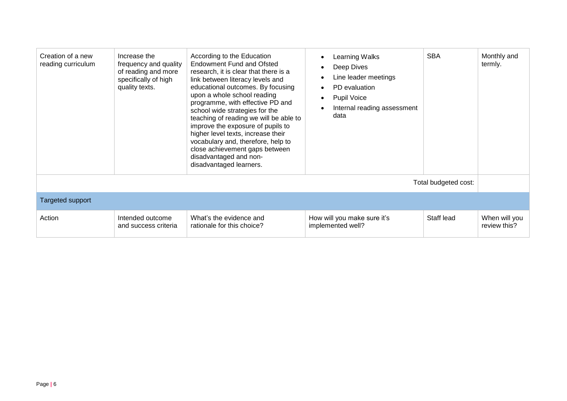| Creation of a new<br>reading curriculum | Increase the<br>frequency and quality<br>of reading and more<br>specifically of high<br>quality texts. | According to the Education<br>Endowment Fund and Ofsted<br>research, it is clear that there is a<br>link between literacy levels and<br>educational outcomes. By focusing<br>upon a whole school reading<br>programme, with effective PD and<br>school wide strategies for the<br>teaching of reading we will be able to<br>improve the exposure of pupils to<br>higher level texts, increase their<br>vocabulary and, therefore, help to<br>close achievement gaps between<br>disadvantaged and non-<br>disadvantaged learners. | Learning Walks<br>$\bullet$<br>Deep Dives<br>$\bullet$<br>Line leader meetings<br>$\bullet$<br>PD evaluation<br>$\bullet$<br><b>Pupil Voice</b><br>$\bullet$<br>Internal reading assessment<br>data | <b>SBA</b>           | Monthly and<br>termly.        |
|-----------------------------------------|--------------------------------------------------------------------------------------------------------|----------------------------------------------------------------------------------------------------------------------------------------------------------------------------------------------------------------------------------------------------------------------------------------------------------------------------------------------------------------------------------------------------------------------------------------------------------------------------------------------------------------------------------|-----------------------------------------------------------------------------------------------------------------------------------------------------------------------------------------------------|----------------------|-------------------------------|
|                                         |                                                                                                        |                                                                                                                                                                                                                                                                                                                                                                                                                                                                                                                                  |                                                                                                                                                                                                     | Total budgeted cost: |                               |
| <b>Targeted support</b>                 |                                                                                                        |                                                                                                                                                                                                                                                                                                                                                                                                                                                                                                                                  |                                                                                                                                                                                                     |                      |                               |
| Action                                  | Intended outcome<br>and success criteria                                                               | What's the evidence and<br>rationale for this choice?                                                                                                                                                                                                                                                                                                                                                                                                                                                                            | How will you make sure it's<br>implemented well?                                                                                                                                                    | Staff lead           | When will you<br>review this? |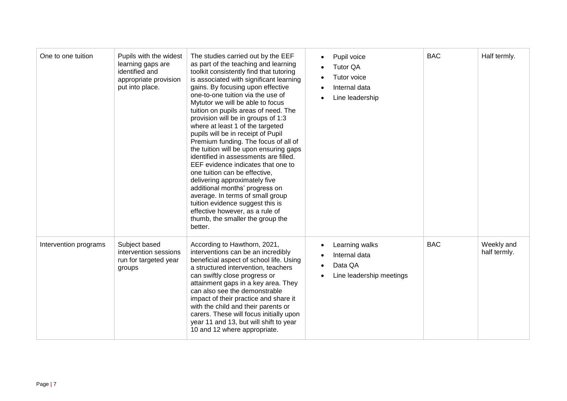| One to one tuition    | Pupils with the widest<br>learning gaps are<br>identified and<br>appropriate provision<br>put into place. | The studies carried out by the EEF<br>as part of the teaching and learning<br>toolkit consistently find that tutoring<br>is associated with significant learning<br>gains. By focusing upon effective<br>one-to-one tuition via the use of<br>Mytutor we will be able to focus<br>tuition on pupils areas of need. The<br>provision will be in groups of 1:3<br>where at least 1 of the targeted<br>pupils will be in receipt of Pupil<br>Premium funding. The focus of all of<br>the tuition will be upon ensuring gaps<br>identified in assessments are filled.<br>EEF evidence indicates that one to<br>one tuition can be effective,<br>delivering approximately five<br>additional months' progress on<br>average. In terms of small group<br>tuition evidence suggest this is<br>effective however, as a rule of<br>thumb, the smaller the group the<br>better. | Pupil voice<br>$\bullet$<br><b>Tutor QA</b><br>Tutor voice<br>Internal data<br>Line leadership | <b>BAC</b> | Half termly.               |
|-----------------------|-----------------------------------------------------------------------------------------------------------|-----------------------------------------------------------------------------------------------------------------------------------------------------------------------------------------------------------------------------------------------------------------------------------------------------------------------------------------------------------------------------------------------------------------------------------------------------------------------------------------------------------------------------------------------------------------------------------------------------------------------------------------------------------------------------------------------------------------------------------------------------------------------------------------------------------------------------------------------------------------------|------------------------------------------------------------------------------------------------|------------|----------------------------|
| Intervention programs | Subject based<br>intervention sessions<br>run for targeted year<br>groups                                 | According to Hawthorn, 2021,<br>interventions can be an incredibly<br>beneficial aspect of school life. Using<br>a structured intervention, teachers<br>can swiftly close progress or<br>attainment gaps in a key area. They<br>can also see the demonstrable<br>impact of their practice and share it<br>with the child and their parents or<br>carers. These will focus initially upon<br>year 11 and 13, but will shift to year<br>10 and 12 where appropriate.                                                                                                                                                                                                                                                                                                                                                                                                    | Learning walks<br>$\bullet$<br>Internal data<br>Data QA<br>Line leadership meetings            | <b>BAC</b> | Weekly and<br>half termly. |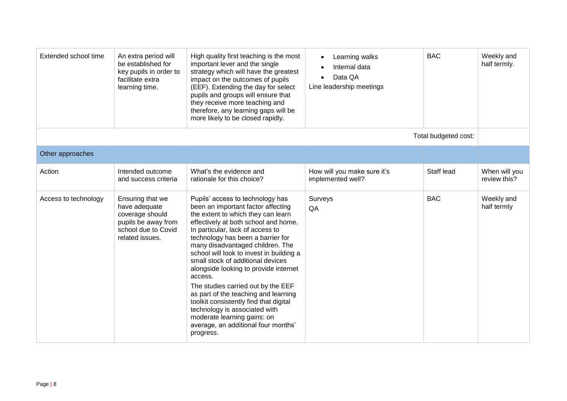| Extended school time | An extra period will<br>be established for<br>key pupils in order to<br>facilitate extra<br>learning time.            | High quality first teaching is the most<br>important lever and the single<br>strategy which will have the greatest<br>impact on the outcomes of pupils<br>(EEF). Extending the day for select<br>pupils and groups will ensure that<br>they receive more teaching and<br>therefore, any learning gaps will be<br>more likely to be closed rapidly.                                                                                                                                                                                                                                                                                                 | Learning walks<br>$\bullet$<br>Internal data<br>Data QA<br>$\bullet$<br>Line leadership meetings | <b>BAC</b>           | Weekly and<br>half termly.    |
|----------------------|-----------------------------------------------------------------------------------------------------------------------|----------------------------------------------------------------------------------------------------------------------------------------------------------------------------------------------------------------------------------------------------------------------------------------------------------------------------------------------------------------------------------------------------------------------------------------------------------------------------------------------------------------------------------------------------------------------------------------------------------------------------------------------------|--------------------------------------------------------------------------------------------------|----------------------|-------------------------------|
|                      |                                                                                                                       |                                                                                                                                                                                                                                                                                                                                                                                                                                                                                                                                                                                                                                                    |                                                                                                  | Total budgeted cost: |                               |
| Other approaches     |                                                                                                                       |                                                                                                                                                                                                                                                                                                                                                                                                                                                                                                                                                                                                                                                    |                                                                                                  |                      |                               |
| Action               | Intended outcome<br>and success criteria                                                                              | What's the evidence and<br>rationale for this choice?                                                                                                                                                                                                                                                                                                                                                                                                                                                                                                                                                                                              | How will you make sure it's<br>implemented well?                                                 | Staff lead           | When will you<br>review this? |
| Access to technology | Ensuring that we<br>have adequate<br>coverage should<br>pupils be away from<br>school due to Covid<br>related issues. | Pupils' access to technology has<br>been an important factor affecting<br>the extent to which they can learn<br>effectively at both school and home.<br>In particular, lack of access to<br>technology has been a barrier for<br>many disadvantaged children. The<br>school will look to invest in building a<br>small stock of additional devices<br>alongside looking to provide internet<br>access.<br>The studies carried out by the EEF<br>as part of the teaching and learning<br>toolkit consistently find that digital<br>technology is associated with<br>moderate learning gains: on<br>average, an additional four months'<br>progress. | Surveys<br>QA                                                                                    | <b>BAC</b>           | Weekly and<br>half termly     |